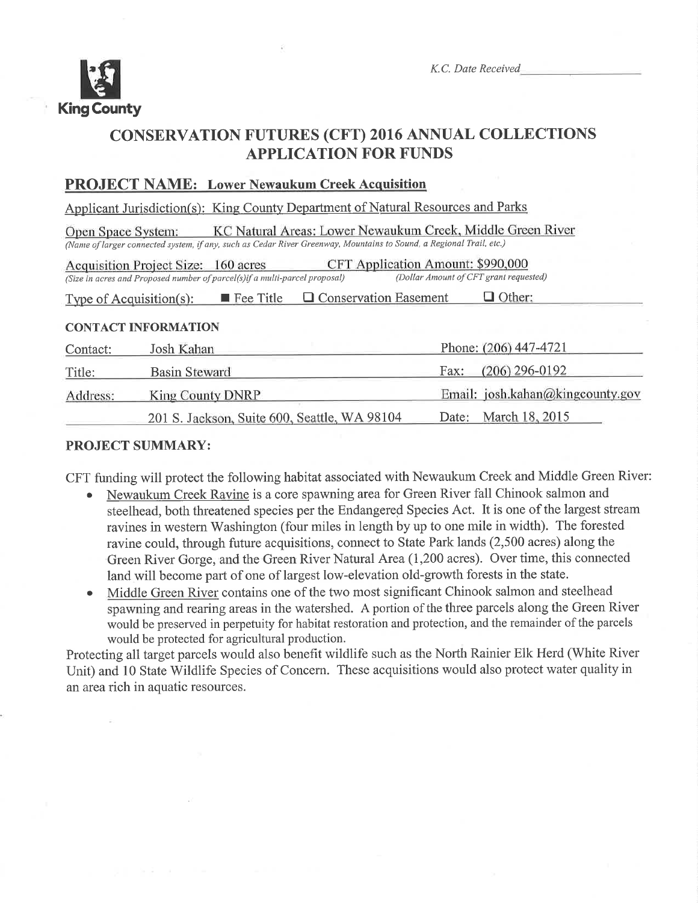

K.C. Date Received

## CONSERVATION FUTURES (CFT) 2016 ANNUAL COLLECTIONS **APPLICATION FOR FUNDS**

## PROJECT NAME: Lower Newaukum Creek Acouisition

Applicant Jurisdiction(s): King County Department of Natural Resources and Parks

KC Natural Areas: Lower Newaukum Creek, Middle Green River Open Space System: (Name of larger connected system, if any, such as Cedar River Greenway, Mountains to Sound, a Regional Trail, etc.)

| Acquisition Project Size: 160 acres                                         | CFT Application Amount: \$990,000      |
|-----------------------------------------------------------------------------|----------------------------------------|
| (Size in acres and Proposed number of parcel(s) if a multi-parcel proposal) | (Dollar Amount of CFT grant requested) |
|                                                                             |                                        |

Type of Acquisition(s):  $\blacksquare$  Fee Title  $\blacksquare$  Conservation Easement  $\blacksquare$  Other:

#### CONTACT INFORMATION

| Contact: | Josh Kahan                                   | Phone: (206) 447-4721            |
|----------|----------------------------------------------|----------------------------------|
| Title:   | <b>Basin Steward</b>                         | $(206)$ 296-0192<br>Fax:         |
| Address: | King County DNRP                             | Email: josh.kahan@kingcounty.gov |
|          | 201 S. Jackson, Suite 600, Seattle, WA 98104 | Date: March 18, 2015             |

## PROJECT SUMMARY:

CFT funding will protect the following habitat associated with Newaukum Creek and Middle Green River:

- Newaukum Creek Ravine is a core spawning area for Green River fall Chinook salmon and steelhead, both threatened species per the Endangered Species Act. It is one of the largest stream ravines in western Washington (four miles in length by up to one mile in width). The forested ravine could, through future acquisitions, connect to State Park lands (2,500 acres) along the Green River Gorge, and the Green River Natural Area (1,200 acres). Over time, this connected land will become part of one of largest low-elevation old-growth forests in the state.
- Middle Green River contains one of the two most significant Chinook salmon and steelhead spawning and rearing areas in the watershed. A portion of the three parcels along the Green River would be preserved in perpetuity for habitat restoration and protection, and the remainder of the parcels would be protected for agricultural production.

Protecting all target parcels would also benefit wildlife such as the North Rainier Elk Herd (White River) Unit) and 10 State Wildlife Species of Concern. These acquisitions would also protect water quality in an area rich in aquatic resources.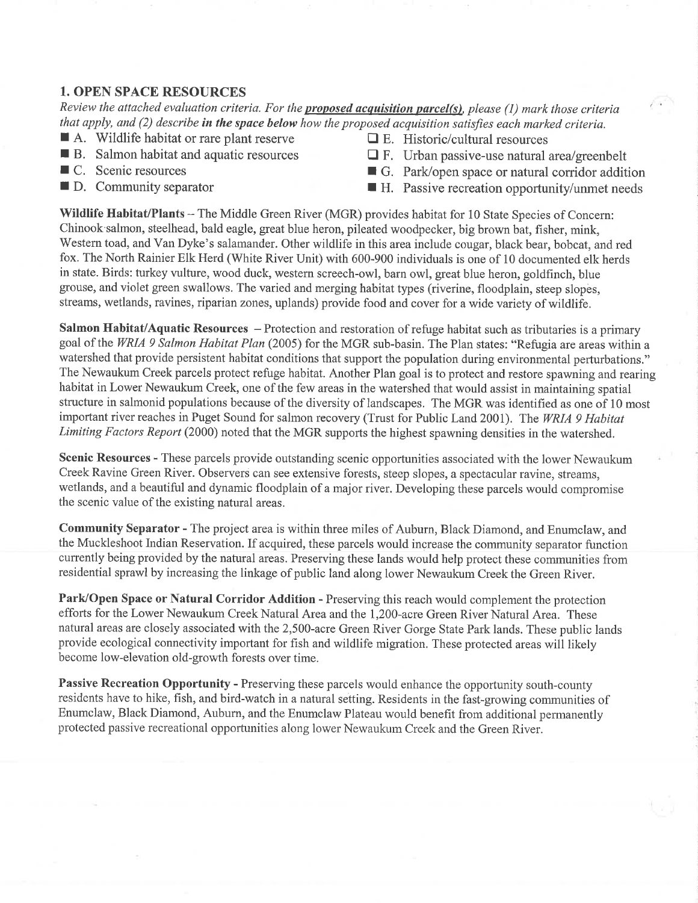#### 1. OPEN SPACE RESOURCES

Review the attached evaluation criteria. For the **proposed acquisition parcel(s)**, please (1) mark those criteria that apply, and  $(2)$  describe in the space below how the proposed acquisition satisfies each marked criteria.

- $\blacksquare$  A. Wildlife habitat or rare plant reserve  $\blacksquare$  E. Historic/cultural resources  $\blacksquare$  B. Salmon habitat and aquatic resources  $\blacksquare$  F. Urban passive-use natural
- 
- 
- 
- 
- **R** B. Salmon habitat and aquatic resources  $R$  F. Urban passive-use natural area/greenbelt <br> **R** G. Park/open space or natural corridor additional
- C. Scenic resources G. Park/open space or natural corridor addition D. Community separator H. Passive recreation opportunity/unmet needs
	- $\blacksquare$  H. Passive recreation opportunity/unmet needs

Wildlife Habitat/Plants - The Middle Green River (MGR) provides habitat for 10 State Species of Concern: Chinook salmon, steelhead, bald eagle, great blue heron, pileated woodpecker, big brown bat, fisher, mink, Western toad, and Van Dyke's salamander. Other wildlife in this area include cougar, black bear, bobcat, and red fox. The North Rainier Elk Herd (White River Unit) with 600-900 individuals is one of 10 documented elk herds in state. Birds: turkey vulture, wood duck, western screech-owl, barn owl, great blue heron, goldfinch, blue grouse, and violet green swallows. The varied and merging habitat types (riverine, floodplain, steep slopes, streams, wetlands, ravines, riparian zones, uplands) provide food and cover for a wide variety of wildlife.

Salmon Habitat/Aquatic Resources - Protection and restoration of refuge habitat such as tributaries is a primary goal of the WRIA 9 Salmon Habitat Plan (2005) for the MGR sub-basin. The Plan states: "Refugia are areas within a watershed that provide persistent habitat conditions that support the population during environmental perturbations." The Newaukum Creek parcels protect refuge habitat. Another Plan goal is to protect and restore spawning and rearing habitat in Lower Newaukum Creek, one of the few areas in the watershed that would assist in maintaining spatial structure in salmonid populations because of the diversity of landscapes. The MGR was identified as one of 10 most important river reaches in Puget Sound for salmon recovery (Trust for Public Land 2001). The WRIA 9 Habitat Limiting Factors Report (2000) noted that the MGR supports the highest spawning densities in the watershed.

Scenic Resources - These parcels provide outstanding scenic opportunities associated with the lower Newaukum Creek Ravine Green River. Observers can see extensive forests, steep slopes, a spectacular ravine, streams, wetlands, and a beautiful and dynamic floodplain of a major river. Developing these parcels would compromise the scenic value of the existing natural areas.

Communify Separator - The project area is within three miles of Auburn, Black Diamond, and Enumclaw, and the Muckleshoot Indian Reservation. If acquired, these parcels would increase the community separator function currently being provided by the natural areas. Preserving these lands would help protect these communities from residential sprawl by increasing the linkage of public land along lower Newaukum Creek the Green River.

Park/Open Space or Natural Corridor Addition - Preserving this reach would complement the protection efforts for the Lower Newaukum Creek Natural Area and the 1,200-acre Green River Natural Area. These natural areas are closely associated with the 2,500-acre Green River Gorge State Park lands. These public lands provide ecological connectivity important for fish and wildlife migration. These protected areas will likely become low-elevation old-growth forests over time.

Passive Recreation Opportunity - Preserving these parcels would enhance the opportunity south-county residents have to hike, fish, and bird-watch in a natural setting. Residents in the fast-growing communities of Enumclaw, Black Diamond, Auburn, and the Enumclaw Plateau would benefit from additional perrnanently protected passive recreational opportunities along lower Newaukum Creek and the Green River.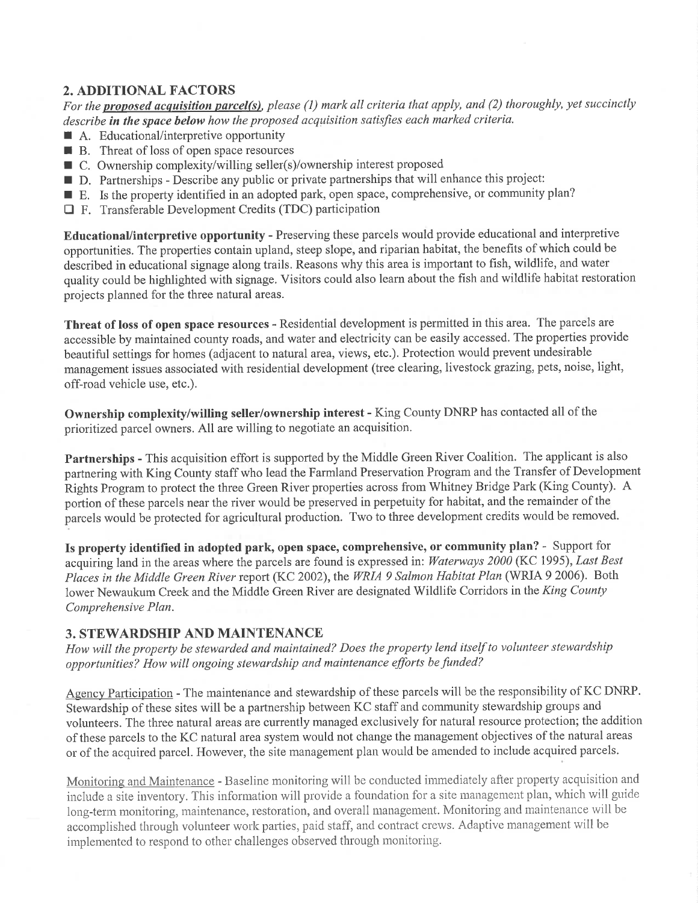## 2. ADDITIONAL FACTORS

For the proposed acquisition parcel(s), please (1) mark all criteria that apply, and (2) thoroughly, yet succinctly describe in the space below how the proposed acquisition satisfies each marked criteria.

- $\blacksquare$  A. Educational/interpretive opportunity
- $\blacksquare$  B. Threat of loss of open space resources
- $\blacksquare$  C. Ownership complexity/willing seller(s)/ownership interest proposed
- I D. Partnerships Describe any public or private partnerships that will enhance this project:
- E. Is the property identified in an adopted park, open space, comprehensive, or community plan?
- E F. Transferable Development Credits (TDC) participation

EducationaVinterpretive opportunity - Preserving these parcels would provide educational and interpretive opportunities. The properties contain upland, steep slope, and riparian habitat, the benefits of which could be described in educational signage along trails. Reasons why this area is important to fish, wildlife, and water quality could be highlighted with signage. Visitors could also learn about the fish and wildlife habitat restoration projects planned for the three natural areas.

Threat of loss of open space resources - Residential development is permitted in this area. The parcels are accessible by maintained county roads, and water and electricity can be easily accessed. The properties provide beautiful settings for homes (adjacent to natural area, views, etc.). Protection would prevent undesirable management issues associated with residential development (tree clearing, livestock grazing, pets, noise, light, off-road vehicle use, etc.).

Ownership complexity/willing seller/ownership interest - King County DNRP has contacted all of the prioritized parcel owners. All are willing to negotiate an acquisition.

Partnerships - This acquisition effort is supported by the Middle Green River Coalition. The applicant is also partnering with King County staff who lead the Farmland Preservation Program and the Transfer of Development Rights Program to protect the three Green River properties across from Whitney Bridge Park (King County). A portion of these parcels near the river would be preserved in perpetuity for habitat, and the remainder of the parcels would be protected for agricultural production. Two to three development credits would be removed.

Is property identified in adopted park, open space, comprehensive, or community plan? - Support for acquiring land in the areas where the parcels are found is expressed in: Waterways 2000 (KC 1995), Last Best Places in the Middle Green River report (KC 2002), the WRIA 9 Salmon Habitat Plan (WRIA 9 2006). Both lower Newaukum Creek and the Middle Green River are designated Wildlife Corridors in the King County Comprehensive Plan.

#### 3. STEWARDSHIP AND MAINTENANCE

How will the property be stewarded and maintained? Does the property lend itself to volunteer stewardship opportunities? How will ongoing stewardship and maintenance efforts be funded?

Agency Participation - The maintenance and stewardship of these parcels will be the responsibility of KC DNRP. Stewardship of these sites will be a partnership between KC staff and community stewardship groups and volunteers. The three natural areas are currently managed exclusively for natural resource protection; the addition of these parcels to the KC natural area system would not change the management objectives of the natural areas or of the acquired parcel. However, the site management plan would be amended to include acquired parcels.

Monitoring and Maintenance - Baseline monitoring will be conducted immediately after property acquisition and include a site inventory. This information will provide a foundation for a site management plan, which will guide long-term monitoring, maintenance, restoration, and overall management. Monitoring and maintenance will be accomplished through volunteer work parties, paid staff, and contract crews. Adaptive management will be implemented to respond to other challenges observed through monitoring.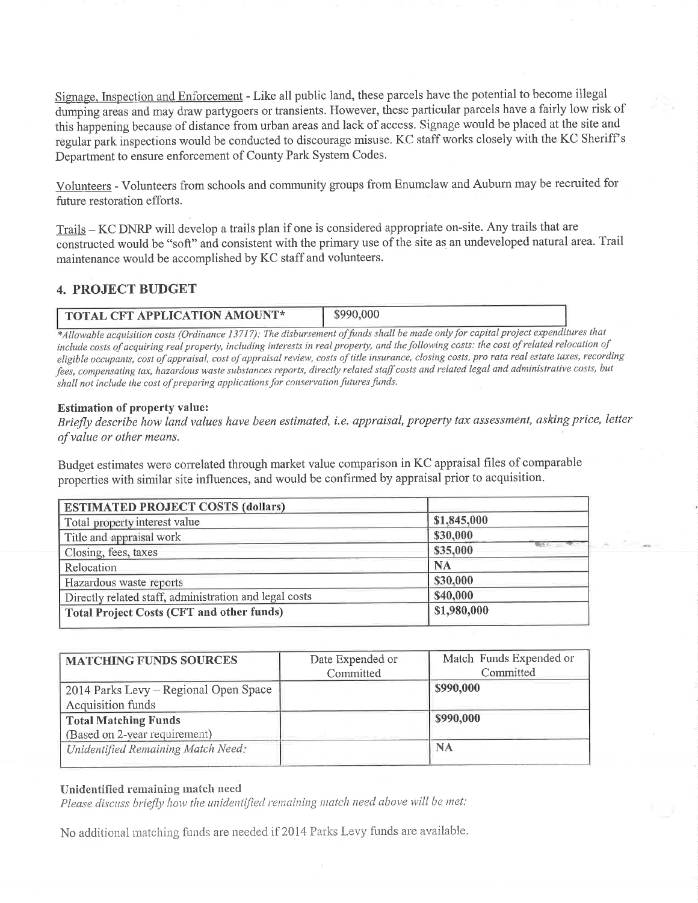Signage. Inspection and Enforcement - Like all public land, these parcels have the potential to become illegal dumping areas and may draw partygoers or transients. However, these particular parcels have a fairly low risk of this happening because of distance from urban areas and lack of access. Signage would be placed at the site and regular park inspections would be conducted to discourage misuse. KC staff works closely with the KC Sheriff <sup>s</sup> Department to ensure enforcement of County Park System Codes.

Volunteers - Volunteers from schools and community groups from Enumclaw and Auburn may be recruited for future restoration efforts.

Trails - KC DNRP will develop a trails plan if one is considered appropriate on-site. Any trails that are constructed would be "soft" and consistent with the primary use of the site as an undeveloped natural area. Trail maintenance would be accomplished by KC staff and volunteers.

## 4. PROJECT BUDGET

| <b>TOTAL CFT APPLICATION AMOUNT*</b> | \$990,000 |
|--------------------------------------|-----------|

\*Allowable acquisition costs (Ordinance 13717): The disbursement of funds shall be made only for capital project expenditures that include costs of acquiring real property, including interests in real property, and the following costs: the cost of related relocation of eligible occupants, cost of appraisal, cost of appraisal review, costs of title insurance, closing costs, pro rata real estate taxes, recording fees, compensating tax, hazardous waste substances reports, directly related staff costs and related legal and administrative costs, but shall not include the cost of preparing applications for conservation futures funds.

#### Estimation of property value:

Briefly describe how land values have been estimated, i.e. appraisal, property tax assessment, asking price, letter ofvalue or other means.

Budget estimates were correlated through market value comparison in KC appraisal files of comparable properties with similar site influences, and would be confirmed by appraisal prior to acquisition.

| <b>ESTIMATED PROJECT COSTS (dollars)</b>               |                             |
|--------------------------------------------------------|-----------------------------|
| Total property interest value                          | \$1,845,000                 |
| Title and appraisal work                               | \$30,000                    |
| Closing, fees, taxes                                   | <b>WERE THE</b><br>\$35,000 |
| Relocation                                             | <b>NA</b>                   |
| Hazardous waste reports                                | \$30,000                    |
| Directly related staff, administration and legal costs | \$40,000                    |
| <b>Total Project Costs (CFT and other funds)</b>       | \$1,980,000                 |

| <b>MATCHING FUNDS SOURCES</b>         | Date Expended or<br>Committed | Match Funds Expended or<br>Committed |
|---------------------------------------|-------------------------------|--------------------------------------|
| 2014 Parks Levy - Regional Open Space |                               | \$990,000                            |
| Acquisition funds                     |                               |                                      |
| <b>Total Matching Funds</b>           |                               | \$990,000                            |
| (Based on 2-year requirement)         |                               |                                      |
| Unidentified Remaining Match Need:    |                               | <b>NA</b>                            |
|                                       |                               |                                      |

#### Unidentified remaining match need

Please discuss briefly how the unidentified remaining match need above will be met:

No additional matching funds are needed if 2014 Parks Levy funds are available.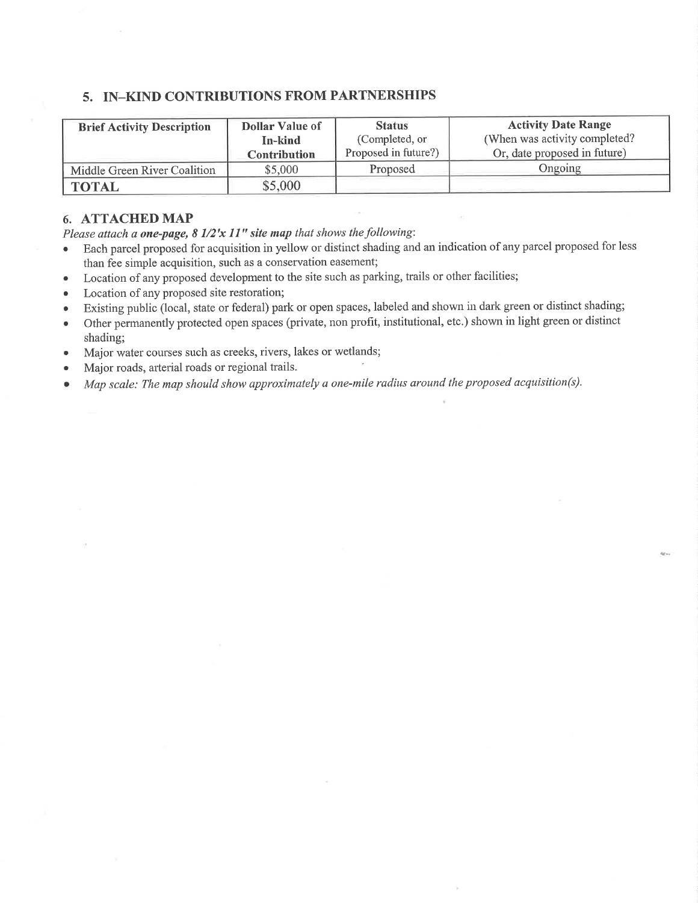### 5. IN-KIND CONTRIBUTIONS FROM PARTNERSHIPS

| <b>Brief Activity Description</b> | <b>Dollar Value of</b> | <b>Status</b>        | <b>Activity Date Range</b>     |
|-----------------------------------|------------------------|----------------------|--------------------------------|
|                                   | In-kind                | (Completed, or       | (When was activity completed?) |
|                                   | Contribution           | Proposed in future?) | Or, date proposed in future)   |
| Middle Green River Coalition      | \$5,000                | Proposed             | Ongoing                        |
| <b>TOTAL</b>                      | \$5,000                |                      |                                |

#### 6. ATTACHED MAP

Please attach a one-page,  $8\frac{1}{2}x\frac{1}{y}$  site map that shows the following:

- o Each parcel proposed for acquisition in yellow or distinct shading and an indication ofany parcel proposed for less than fee simple acquisition, such as a conservation easernent;
- o Location of any proposed development to the site such as parking, trails or other facilities;
- Location of any proposed site restoration;
- o Existing public (local, state or federal) park or open spaces, labeled and shown in dark green or distinct shading;
- . Other permanently protected open spaces (private, non profit, institutional, etc.) shown in light green or distinct shading;
- o Major water courses such as creeks, rivers, lakes or wetlands;
- . Major roads, arterial roads or regional trails.
- . Map scale: The map should show approximately a one-mile radius around the proposed acquisition(s).